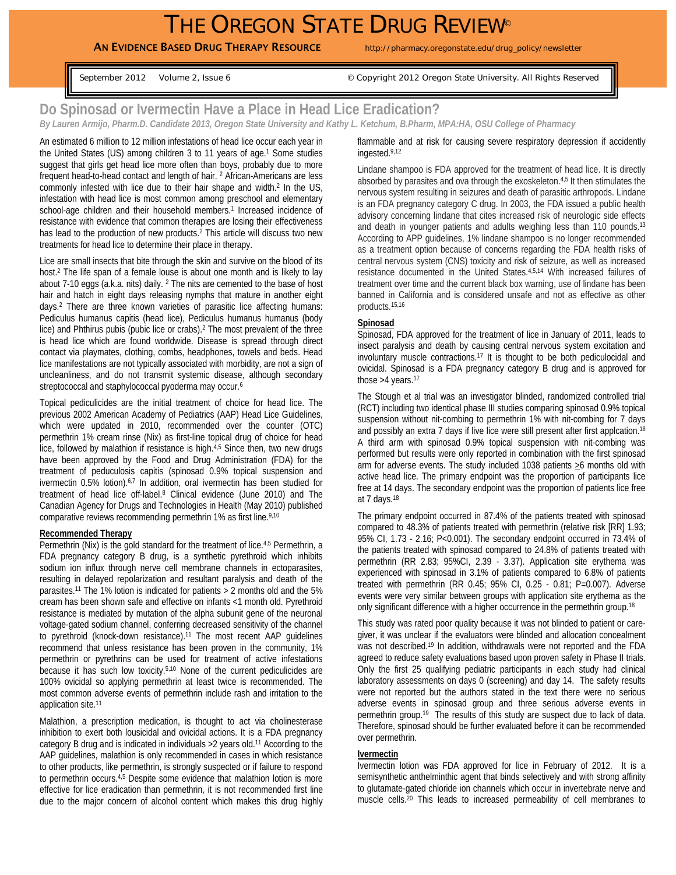# THE OREGON STATE DRUG REVIEW®

AN EVIDENCE BASED DRUG THERAPY RESOURCE http://pharmacy.oregonstate.edu/drug\_policy/newsletter

September 2012 Volume 2, Issue 6 © Copyright 2012 Oregon State University. All Rights Reserved

## **Do Spinosad or Ivermectin Have a Place in Head Lice Eradication?**

*By Lauren Armijo, Pharm.D. Candidate 2013, Oregon State University and Kathy L. Ketchum, B.Pharm, MPA:HA, OSU College of Pharmacy* 

An estimated 6 million to 12 million infestations of head lice occur each year in the United States (US) among children 3 to 11 years of age.<sup>1</sup> Some studies suggest that girls get head lice more often than boys, probably due to more frequent head-to-head contact and length of hair. 2 African-Americans are less commonly infested with lice due to their hair shape and width.2 In the US, infestation with head lice is most common among preschool and elementary school-age children and their household members.<sup>1</sup> Increased incidence of resistance with evidence that common therapies are losing their effectiveness has lead to the production of new products.<sup>2</sup> This article will discuss two new treatments for head lice to determine their place in therapy.

Lice are small insects that bite through the skin and survive on the blood of its host.2 The life span of a female louse is about one month and is likely to lay about 7-10 eggs (a.k.a. nits) daily. 2 The nits are cemented to the base of host hair and hatch in eight days releasing nymphs that mature in another eight days.2 There are three known varieties of parasitic lice affecting humans: Pediculus humanus capitis (head lice), Pediculus humanus humanus (body lice) and Phthirus pubis (pubic lice or crabs).2 The most prevalent of the three is head lice which are found worldwide. Disease is spread through direct contact via playmates, clothing, combs, headphones, towels and beds. Head lice manifestations are not typically associated with morbidity, are not a sign of uncleanliness, and do not transmit systemic disease, although secondary streptococcal and staphylococcal pyoderma may occur.<sup>6</sup>

Topical pediculicides are the initial treatment of choice for head lice. The previous 2002 American Academy of Pediatrics (AAP) Head Lice Guidelines, which were updated in 2010, recommended over the counter (OTC) permethrin 1% cream rinse (Nix) as first-line topical drug of choice for head lice, followed by malathion if resistance is high. $4.5$  Since then, two new drugs have been approved by the Food and Drug Administration (FDA) for the treatment of peduculosis capitis (spinosad 0.9% topical suspension and ivermectin 0.5% lotion).<sup>6,7</sup> In addition, oral ivermectin has been studied for treatment of head lice off-label.8 Clinical evidence (June 2010) and The Canadian Agency for Drugs and Technologies in Health (May 2010) published comparative reviews recommending permethrin 1% as first line.9,10

#### **Recommended Therapy**

Permethrin (Nix) is the gold standard for the treatment of lice.<sup>4,5</sup> Permethrin, a FDA pregnancy category B drug, is a synthetic pyrethroid which inhibits sodium ion influx through nerve cell membrane channels in ectoparasites, resulting in delayed repolarization and resultant paralysis and death of the parasites.11 The 1% lotion is indicated for patients > 2 months old and the 5% cream has been shown safe and effective on infants <1 month old. Pyrethroid resistance is mediated by mutation of the alpha subunit gene of the neuronal voltage-gated sodium channel, conferring decreased sensitivity of the channel to pyrethroid (knock-down resistance).11 The most recent AAP guidelines recommend that unless resistance has been proven in the community, 1% permethrin or pyrethrins can be used for treatment of active infestations because it has such low toxicity.5,10 None of the current pediculicides are 100% ovicidal so applying permethrin at least twice is recommended. The most common adverse events of permethrin include rash and irritation to the application site.<sup>11</sup>

Malathion, a prescription medication, is thought to act via cholinesterase inhibition to exert both lousicidal and ovicidal actions. It is a FDA pregnancy category B drug and is indicated in individuals >2 years old.11 According to the AAP guidelines, malathion is only recommended in cases in which resistance to other products, like permethrin, is strongly suspected or if failure to respond to permethrin occurs.<sup>4,5</sup> Despite some evidence that malathion lotion is more effective for lice eradication than permethrin, it is not recommended first line due to the major concern of alcohol content which makes this drug highly flammable and at risk for causing severe respiratory depression if accidently ingested.9,12

Lindane shampoo is FDA approved for the treatment of head lice. It is directly absorbed by parasites and ova through the exoskeleton.4,5 It then stimulates the nervous system resulting in seizures and death of parasitic arthropods. Lindane is an FDA pregnancy category C drug. In 2003, the FDA issued a public health advisory concerning lindane that cites increased risk of neurologic side effects and death in younger patients and adults weighing less than 110 pounds.<sup>13</sup> According to APP guidelines, 1% lindane shampoo is no longer recommended as a treatment option because of concerns regarding the FDA health risks of central nervous system (CNS) toxicity and risk of seizure, as well as increased resistance documented in the United States.4,5,14 With increased failures of treatment over time and the current black box warning, use of lindane has been banned in California and is considered unsafe and not as effective as other products.15,16

#### **Spinosad**

Spinosad, FDA approved for the treatment of lice in January of 2011, leads to insect paralysis and death by causing central nervous system excitation and involuntary muscle contractions.17 It is thought to be both pediculocidal and ovicidal. Spinosad is a FDA pregnancy category B drug and is approved for those  $>4$  years.<sup>17</sup>

The Stough et al trial was an investigator blinded, randomized controlled trial (RCT) including two identical phase III studies comparing spinosad 0.9% topical suspension without nit-combing to permethrin 1% with nit-combing for 7 days and possibly an extra 7 days if live lice were still present after first applcation.<sup>18</sup> A third arm with spinosad 0.9% topical suspension with nit-combing was performed but results were only reported in combination with the first spinosad arm for adverse events. The study included 1038 patients  $\geq 6$  months old with active head lice. The primary endpoint was the proportion of participants lice free at 14 days. The secondary endpoint was the proportion of patients lice free at 7 days.18

The primary endpoint occurred in 87.4% of the patients treated with spinosad compared to 48.3% of patients treated with permethrin (relative risk [RR] 1.93; 95% CI, 1.73 - 2.16; P<0.001). The secondary endpoint occurred in 73.4% of the patients treated with spinosad compared to 24.8% of patients treated with permethrin (RR 2.83; 95%CI, 2.39 - 3.37). Application site erythema was experienced with spinosad in 3.1% of patients compared to 6.8% of patients treated with permethrin (RR 0.45; 95% CI, 0.25 - 0.81; P=0.007). Adverse events were very similar between groups with application site erythema as the only significant difference with a higher occurrence in the permethrin group.<sup>18</sup>

This study was rated poor quality because it was not blinded to patient or caregiver, it was unclear if the evaluators were blinded and allocation concealment was not described.<sup>19</sup> In addition, withdrawals were not reported and the FDA agreed to reduce safety evaluations based upon proven safety in Phase II trials. Only the first 25 qualifying pediatric participants in each study had clinical laboratory assessments on days 0 (screening) and day 14. The safety results were not reported but the authors stated in the text there were no serious adverse events in spinosad group and three serious adverse events in permethrin group.<sup>19</sup> The results of this study are suspect due to lack of data. Therefore, spinosad should be further evaluated before it can be recommended over permethrin.

#### **Ivermectin**

Ivermectin lotion was FDA approved for lice in February of 2012. It is a semisynthetic anthelminthic agent that binds selectively and with strong affinity to glutamate-gated chloride ion channels which occur in invertebrate nerve and muscle cells.<sup>20</sup> This leads to increased permeability of cell membranes to